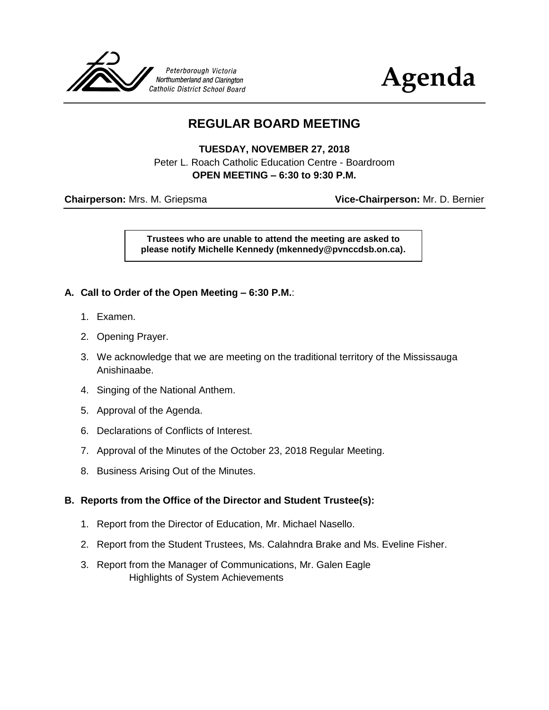



# **REGULAR BOARD MEETING**

**TUESDAY, NOVEMBER 27, 2018** Peter L. Roach Catholic Education Centre - Boardroom **OPEN MEETING – 6:30 to 9:30 P.M.**

**Chairperson:** Mrs. M. Griepsma **Vice-Chairperson:** Mr. D. Bernier

**Trustees who are unable to attend the meeting are asked to please notify Michelle Kennedy (mkennedy@pvnccdsb.on.ca).**

#### **A. Call to Order of the Open Meeting – 6:30 P.M.**:

- 1. Examen.
- 2. Opening Prayer.
- 3. We acknowledge that we are meeting on the traditional territory of the Mississauga Anishinaabe.
- 4. Singing of the National Anthem.
- 5. Approval of the Agenda.
- 6. Declarations of Conflicts of Interest.
- 7. Approval of the Minutes of the October 23, 2018 Regular Meeting.
- 8. Business Arising Out of the Minutes.

#### **B. Reports from the Office of the Director and Student Trustee(s):**

- 1. Report from the Director of Education, Mr. Michael Nasello.
- 2. Report from the Student Trustees, Ms. Calahndra Brake and Ms. Eveline Fisher.
- 3. Report from the Manager of Communications, Mr. Galen Eagle Highlights of System Achievements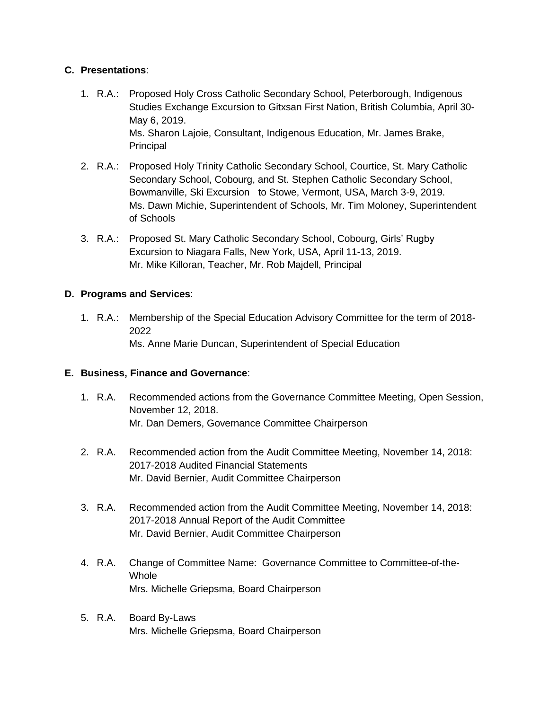#### **C. Presentations**:

- 1. R.A.: Proposed Holy Cross Catholic Secondary School, Peterborough, Indigenous Studies Exchange Excursion to Gitxsan First Nation, British Columbia, April 30- May 6, 2019. Ms. Sharon Lajoie, Consultant, Indigenous Education, Mr. James Brake, Principal
- 2. R.A.: Proposed Holy Trinity Catholic Secondary School, Courtice, St. Mary Catholic Secondary School, Cobourg, and St. Stephen Catholic Secondary School, Bowmanville, Ski Excursion to Stowe, Vermont, USA, March 3-9, 2019. Ms. Dawn Michie, Superintendent of Schools, Mr. Tim Moloney, Superintendent of Schools
- 3. R.A.: Proposed St. Mary Catholic Secondary School, Cobourg, Girls' Rugby Excursion to Niagara Falls, New York, USA, April 11-13, 2019. Mr. Mike Killoran, Teacher, Mr. Rob Majdell, Principal

#### **D. Programs and Services**:

1. R.A.: Membership of the Special Education Advisory Committee for the term of 2018- 2022 Ms. Anne Marie Duncan, Superintendent of Special Education

#### **E. Business, Finance and Governance**:

- 1. R.A. Recommended actions from the Governance Committee Meeting, Open Session, November 12, 2018. Mr. Dan Demers, Governance Committee Chairperson
- 2. R.A. Recommended action from the Audit Committee Meeting, November 14, 2018: 2017-2018 Audited Financial Statements Mr. David Bernier, Audit Committee Chairperson
- 3. R.A. Recommended action from the Audit Committee Meeting, November 14, 2018: 2017-2018 Annual Report of the Audit Committee Mr. David Bernier, Audit Committee Chairperson
- 4. R.A. Change of Committee Name: Governance Committee to Committee-of-the-Whole Mrs. Michelle Griepsma, Board Chairperson
- 5. R.A. Board By-Laws Mrs. Michelle Griepsma, Board Chairperson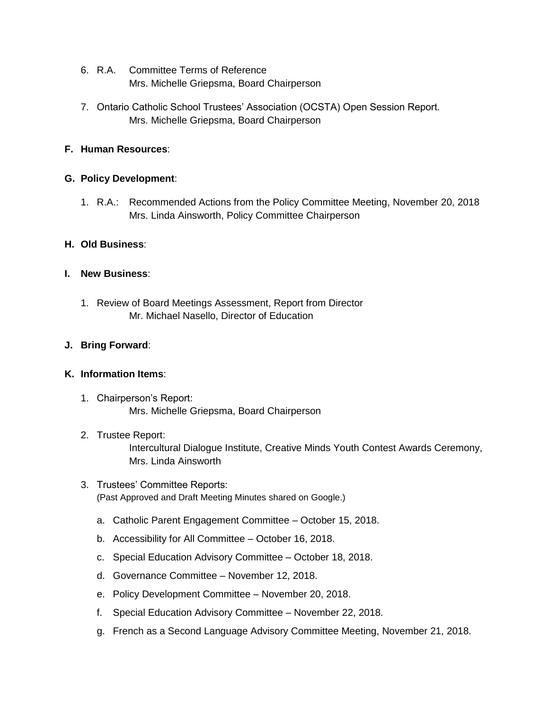- 6. R.A. Committee Terms of Reference Mrs. Michelle Griepsma, Board Chairperson
- 7. Ontario Catholic School Trustees' Association (OCSTA) Open Session Report. Mrs. Michelle Griepsma, Board Chairperson

#### **F. Human Resources**:

#### **G. Policy Development**:

1. R.A.: Recommended Actions from the Policy Committee Meeting, November 20, 2018 Mrs. Linda Ainsworth, Policy Committee Chairperson

#### **H. Old Business**:

#### **I. New Business**:

1. Review of Board Meetings Assessment, Report from Director Mr. Michael Nasello, Director of Education

#### **J. Bring Forward**:

#### **K. Information Items**:

1. Chairperson's Report: Mrs. Michelle Griepsma, Board Chairperson

#### 2. Trustee Report:

Intercultural Dialogue Institute, Creative Minds Youth Contest Awards Ceremony, Mrs. Linda Ainsworth

- 3. Trustees' Committee Reports: (Past Approved and Draft Meeting Minutes shared on Google.)
	- a. Catholic Parent Engagement Committee October 15, 2018.
	- b. Accessibility for All Committee October 16, 2018.
	- c. Special Education Advisory Committee October 18, 2018.
	- d. Governance Committee November 12, 2018.
	- e. Policy Development Committee November 20, 2018.
	- f. Special Education Advisory Committee November 22, 2018.
	- g. French as a Second Language Advisory Committee Meeting, November 21, 2018.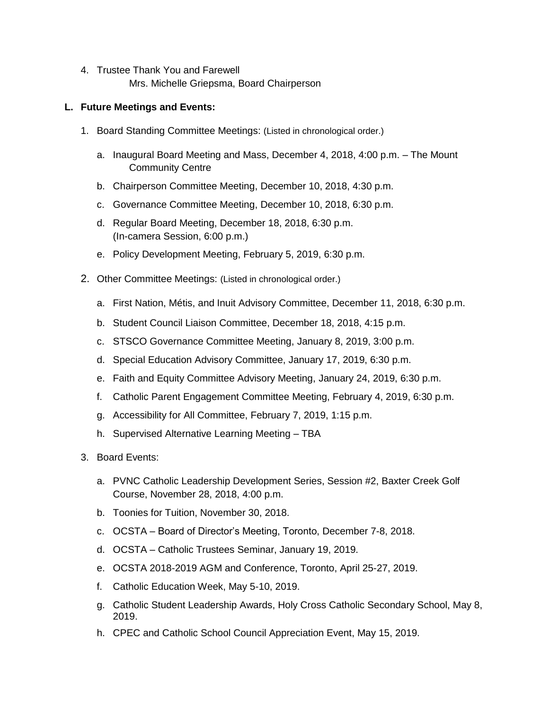4. Trustee Thank You and Farewell Mrs. Michelle Griepsma, Board Chairperson

### **L. Future Meetings and Events:**

- 1. Board Standing Committee Meetings: (Listed in chronological order.)
	- a. Inaugural Board Meeting and Mass, December 4, 2018, 4:00 p.m. The Mount Community Centre
	- b. Chairperson Committee Meeting, December 10, 2018, 4:30 p.m.
	- c. Governance Committee Meeting, December 10, 2018, 6:30 p.m.
	- d. Regular Board Meeting, December 18, 2018, 6:30 p.m. (In-camera Session, 6:00 p.m.)
	- e. Policy Development Meeting, February 5, 2019, 6:30 p.m.
- 2. Other Committee Meetings: (Listed in chronological order.)
	- a. First Nation, Métis, and Inuit Advisory Committee, December 11, 2018, 6:30 p.m.
	- b. Student Council Liaison Committee, December 18, 2018, 4:15 p.m.
	- c. STSCO Governance Committee Meeting, January 8, 2019, 3:00 p.m.
	- d. Special Education Advisory Committee, January 17, 2019, 6:30 p.m.
	- e. Faith and Equity Committee Advisory Meeting, January 24, 2019, 6:30 p.m.
	- f. Catholic Parent Engagement Committee Meeting, February 4, 2019, 6:30 p.m.
	- g. Accessibility for All Committee, February 7, 2019, 1:15 p.m.
	- h. Supervised Alternative Learning Meeting TBA
- 3. Board Events:
	- a. PVNC Catholic Leadership Development Series, Session #2, Baxter Creek Golf Course, November 28, 2018, 4:00 p.m.
	- b. Toonies for Tuition, November 30, 2018.
	- c. OCSTA Board of Director's Meeting, Toronto, December 7-8, 2018.
	- d. OCSTA Catholic Trustees Seminar, January 19, 2019.
	- e. OCSTA 2018-2019 AGM and Conference, Toronto, April 25-27, 2019.
	- f. Catholic Education Week, May 5-10, 2019.
	- g. Catholic Student Leadership Awards, Holy Cross Catholic Secondary School, May 8, 2019.
	- h. CPEC and Catholic School Council Appreciation Event, May 15, 2019.